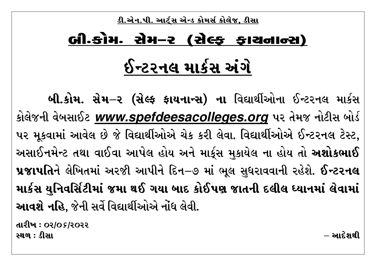<u>ડી.એન.પી. આર્ટ્સ એન્ડ કોમર્સ કોલેજ, ડીસા</u>

## લી કોમ-સેમ-૨ (સેલ્ક કાચનાન્સ) ઈન્ટરનલ માર્કસ અંગે

બી.કોમ. સેમ–૨ (સેલ્ફ ફાયનાન્સ) ના વિદ્યાર્થીઓના ઈન્ટરનલ માર્કસ કોલેજની વેબસાઈટ www.spefdeesacolleges.org પર તેમજ નોટીસ બોર્ડ પર મૂકવામાં આવેલ છે જે વિદ્યાર્થીઓએ ચેક કરી લેવા. વિદ્યાર્થીઓએ ઈન્ટરનલ ટેસ્ટ, અસાઈનમેન્ટ તથા વાઈવા આપેલ હોય અને માર્કુસ મકાયેલ ના હોય તો **અશોકભાઈ** પ્રજાપતિને લેખિતમાં અરજી આપીને દિન–૭ માં ભૂલ સુધરાવવાની રહેશે. ઈન્ટરનલ માર્કસ યુનિવર્સિટીમાં જમા થઈ ગયા બાદ કોઈપણ જાતની દલીલ ધ્યાનમાં લેવામાં આવશે નહિ. જેની સર્વે વિદ્યાર્થીઓએ નોંધ લેવી.

તારીખ : ૦૨/૦*૬*/૨૦૨૨ સ્થળ : ડીસા

 $-$  આર્ટેગથી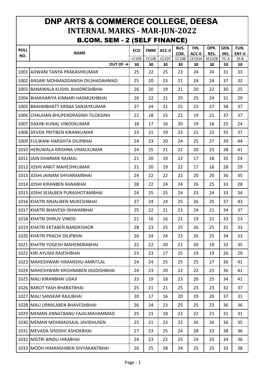## **DNP ARTS & COMMERCE COLLEGE, DEESA INTERNAL MARKS - MAR-JUN-2022** B.COM. SEM - 2 (SELF FINANCE)

|             |                                        |            |            |               | ,<br>BUS. | FIN.   | OPR.   | GEN. | FUN.   |
|-------------|----------------------------------------|------------|------------|---------------|-----------|--------|--------|------|--------|
| <b>ROLL</b> | <b>NAME</b>                            | <b>ECO</b> | <b>FMM</b> | <b>ACC-II</b> | COR.      | ACC-II | RES.   | INS. | ENT-II |
| NO.         |                                        | CC105      | CC106      | CC107         | CC108     | CE102A | SE102B | FC-A | $SS-B$ |
|             | OUT OF $\rightarrow$                   | 30         | 30         | 30            | 30        | 30     | 30     | 50   | 50     |
|             | 1001 ADWANI TANYA PRAKASHKUMAR         | 25         | 22         | 25            | 23        | 24     | 24     | 31   | 33     |
|             | 1002 ANSARI MOHMADDANISH DILSHADAHMAD  | 25         | 20         | 23            | 21        | 24     | 24     | 37   | 32     |
|             | 1003 BANAWALA KUSHIL BHADRESHBHAI      | 26         | 20         | 19            | 21        | 20     | 22     | 30   | 25     |
|             | 1004 BHAKHARIYA KINNARI HASMUKHBHAI    | 26         | 22         | 21            | 25        | 25     | 24     | 31   | 29     |
|             | 1005 BRAHMBHATT KRIMA SANJAYKUMAR      | 27         | 24         | 21            | 25        | 23     | 27     | 38   | 37     |
|             | 1006 CHAUHAN BHUPENDRASINH TILOKSINH   | 22         | 18         | 15            | 22        | 19     | 21     | 37   | 37     |
|             | 1007 DAXINI KUNAL VINODKUMAR           | 18         | 17         | 16            | 20        | 19     | 18     | 25   | 24     |
|             | 1008 DEVDA PRITIBEN KIRANKUMAR         | 23         | 21         | 19            | 23        | 21     | 23     | 35   | 37     |
|             | 1009 FULWANI HARSHITA DILIPBHAI        | 24         | 23         | 20            | 24        | 25     | 27     | 39   | 44     |
|             | 1010 HERUWALA KRISHNA VIMALKUMAR       | 24         | 25         | 21            | 22        | 20     | 25     | 38   | 41     |
|             | 1011 JJAIN DHARMIK RAJMAL              | 21         | 20         | 19            | 22        | 17     | 18     | 35   | 24     |
|             | 1012 JOSHI ANKIT MAHESHKUMAR           | 21         | 20         | 19            | 22        | 17     | 18     | 28   | 29     |
|             | 1013 JJOSHI JAINAM SHIVARAMBHAI        | 24         | 22         | 22            | 22        | 20     | 20     | 36   | 35     |
|             | 1014 JOSHI KIRANBEN RANABHAI           | 28         | 22         | 24            | 24        | 26     | 25     | 33   | 28     |
|             | 1015 JOSHI SEJALBEN PURASHOTAMBHAI     | 24         | 25         | 25            | 24        | 23     | 24     | 33   | 34     |
|             | 1016 KHATRI ANJALIBEN MUKESHBHAI       | 27         | 24         | 24            | 25        | 26     | 25     | 37   | 43     |
|             | 1017 KHATRI BHAVESH ISHWARBHAI         | 25         | 22         | 21            | 23        | 24     | 21     | 34   | 37     |
|             | 1018 KHATRI DHRUV VINOD                | 21         | 16         | 16            | 21        | 19     | 21     | 33   | 23     |
|             | 1019 KHATRI EKTABEN NANDKISHOR         | 28         | 23         | 25            | 25        | 26     | 25     | 32   | 33     |
|             | 1020 KHATRI PRACHI DILIPBHAI           | 26         | 24         | 24            | 23        | 26     | 25     | 34   | 33     |
|             | 1021 KHATRI YOGESH MAHENDRABHAI        | 22         | 22         | 20            | 21        | 20     | 19     | 32   | 35     |
|             | 1022 KIRI AYUSHI RAJESHBHAI            | 23         | 23         | 17            | 25        | 19     | 19     | 26   | 29     |
|             | 1023 MAHESHWARI HIMANSHU AMRITLAL      | 24         | 24         | 25            | 25        | 25     | 27     | 36   | 41     |
|             | 1024 MAHESHWARI KRISHNABEN JAGDISHBHAI | 24         | 23         | 20            | 22        | 22     | 23     | 36   | 41     |
|             | 1025   MALI KIRANBHAI UDAJI            | 23         | 19         | 18            | 23        | 26     | 25     | 34   | 41     |
|             | 1026 BAROT YASH BHARATBHAI             | 25         | 21         | 21            | 25        | 23     | 23     | 32   | 37     |
|             | 1027 MALI SANSKAR RAJUBHAI             | 20         | 17         | 16            | 20        | 19     | 20     | 37   | 31     |
|             | 1028   MALI URMILABEN BHAVESHBHAI      | 26         | 24         | 23            | 25        | 25     | 23     | 36   | 36     |
|             | 1029 MEMAN JINNATBANU FAJALMAHAMMAD    | 25         | 21         | 18            | 23        | 22     | 21     | 31   | 31     |
|             | 1030 MEMAN MOHMADSAJIL JAVIDHUSEN      | 25         | 21         | 23            | 22        | 26     | 26     | 36   | 35     |
|             | 1031   MEVADA SHIDDHI ASHOKBHAI        | 27         | 23         | 25            | 24        | 28     | 23     | 38   | 36     |
|             | 1032 MISTRI BINDU HIRABHAI             | 24         | 23         | 22            | 25        | 24     | 25     | 34   | 36     |
|             | 1033   MODH HIMANSHIBEN DIVYAKANTBHAI  | 26         | 25         | 28            | 24        | 25     | 25     | 33   | 38     |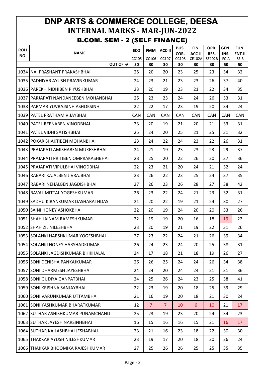## **DNP ARTS & COMMERCE COLLEGE, DEESA INTERNAL MARKS - MAR-JUN-2022** B.COM. SEM - 2 (SELF FINANCE)

| <b>ROLL</b> | <b>NAME</b>                            | <b>ECO</b> | <b>FMM</b>     | <b>ACC-II</b>  | BUS.<br>COR. | FIN.<br>ACC-II | OPR.<br>RES. | GEN.<br>INS. | FUN.<br><b>ENT-II</b> |
|-------------|----------------------------------------|------------|----------------|----------------|--------------|----------------|--------------|--------------|-----------------------|
| NO.         |                                        | CC105      | CC106          | CC107          | CC108        | CE102A         | SE102B       | FC-A         | $SS-B$                |
|             | OUT OF $\rightarrow$                   | 30         | 30             | 30             | 30           | 30             | 30           | 50           | 50                    |
|             | 1034 NAI PRASHANT PRAKASHBHAI          | 25         | 20             | 20             | 23           | 25             | 23           | 34           | 32                    |
|             | 1035 PADHIYAR AYUSH PRAVINKUMAR        | 24         | 23             | 21             | 23           | 23             | 26           | 37           | 40                    |
|             | 1036 PAREKH NIDHIBEN PIYUSHBHAI        | 23         | 20             | 19             | 23           | 21             | 22           | 34           | 35                    |
|             | 1037   PARJAPATI NANDANEEBEN MOHANBHAI | 25         | 23             | 23             | 24           | 24             | 26           | 33           | 31                    |
|             | 1038 PARMAR YUVRAJSINH ASHOKSINH       | 22         | 22             | 17             | 23           | 19             | 20           | 34           | 24                    |
|             | 1039 IPATEL PRATHAM VIJAYBHAI          | <b>CAN</b> | CAN            | <b>CAN</b>     | <b>CAN</b>   | <b>CAN</b>     | <b>CAN</b>   | <b>CAN</b>   | <b>CAN</b>            |
|             | 1040   PATEL REENABEN VINODBHAI        | 23         | 20             | 19             | 21           | 20             | 21           | 33           | 31                    |
|             | 1041 PATEL VIDHI SATISHBHAI            | 25         | 24             | 20             | 25           | 21             | 25           | 31           | 32                    |
|             | 1042 POKAR SHAKTIBEN MOHANBHAI         | 23         | 24             | 22             | 24           | 23             | 22           | 26           | 31                    |
|             | 1043 PRAJAPATI AMISHABEN MUKESHBHAI    | 24         | 21             | 19             | 23           | 23             | 23           | 29           | 37                    |
|             | 1044 PRAJAPATI PRITIBEN OMPRAKASHBHAI  | 23         | 25             | 20             | 22           | 26             | 20           | 37           | 36                    |
|             | 1045   PRAJAPATI VIPULBHAI VINODBHAI   | 22         | 23             | 21             | 20           | 24             | 21           | 32           | 24                    |
|             | 1046 RABARI KAJALBEN JIVRAJBHAI        | 23         | 26             | 22             | 23           | 25             | 24           | 37           | 35                    |
|             | 1047 RABARI NEHALBEN JAGDISHBHAI       | 27         | 26             | 23             | 26           | 28             | 27           | 38           | 42                    |
|             | 1048 RAVAL MITTAL YOGESHKUMAR          | 26         | 23             | 22             | 24           | 21             | 23           | 32           | 31                    |
|             | 1049 SADHU KIRANKUMAR DASHARATHDAS     | 21         | 20             | 22             | 19           | 21             | 24           | 30           | 27                    |
|             | 1050 SAINI HONEY ASHOKBHAI             | 22         | 20             | 19             | 24           | 20             | 20           | 33           | 26                    |
|             | 1051 SHAH JAINAM RAMESHKUMAR           | 22         | 19             | 19             | 20           | 16             | 18           | 19           | 22                    |
|             | 1052 SHAH ZIL NILESHBHAI               | 23         | 20             | 19             | 21           | 19             | 22           | 31           | 26                    |
|             | 1053 SOLANKI HARSHKUMAR YOGESHBHAI     | 27         | 23             | 22             | 24           | 21             | 26           | 39           | 34                    |
|             | 1054 SOLANKI HONEY HARSHADKUMAR        | 26         | 24             | 23             | 24           | 20             | 25           | 38           | 31                    |
|             | 1055 SOLANKI JAGDISHKUMAR BHIKHALAL    | 24         | 17             | 18             | 21           | 18             | 19           | 26           | 27                    |
|             | 1056 SONI DENISHA PANKAJKUMAR          | 26         | 26             | 25             | 24           | 24             | 26           | 34           | 38                    |
|             | 1057 SONI DHARMESH JAYESHBHAI          | 24         | 24             | 20             | 24           | 24             | 21           | 31           | 36                    |
|             | 1058 SONI GUDIYA GANPATBHAI            | 24         | 25             | 26             | 24           | 23             | 25           | 38           | 41                    |
|             | 1059 SONI KRISHNA SANJAYBHAI           | 22         | 23             | 19             | 20           | 18             | 25           | 39           | 29                    |
|             | 1060 SONI VARUNKUMAR UTTAMBHAI         | 21         | 16             | 19             | 20           | 18             | 21           | 30           | 24                    |
|             | 1061 SONI YASHKUMAR BHARATKUMAR        | 12         | $\overline{7}$ | $\overline{7}$ | 10           | 6              | 10           | 21           | 17                    |
|             | 1062 SUTHAR ASHISHKUMAR PUNAMCHAND     | 25         | 23             | 19             | 23           | 20             | 24           | 34           | 23                    |
|             | 1063 SUTHAR JAYESH NARSINHBHAI         | 16         | 15             | 16             | 16           | 15             | 21           | 16           | 17                    |
|             | 1064 SUTHAR KAILASHBHAI JESHABHAI      | 23         | 21             | 16             | 23           | 18             | 22           | 30           | 30                    |
|             | 1065 THAKKAR AYUSH NILESHKUMAR         | 23         | 19             | 17             | 20           | 18             | 20           | 26           | 24                    |
| 1066        | THAKKAR BHOOMIKA RAJESHKUMAR           | 27         | 25             | 26             | 26           | 25             | 25           | 35           | 35                    |